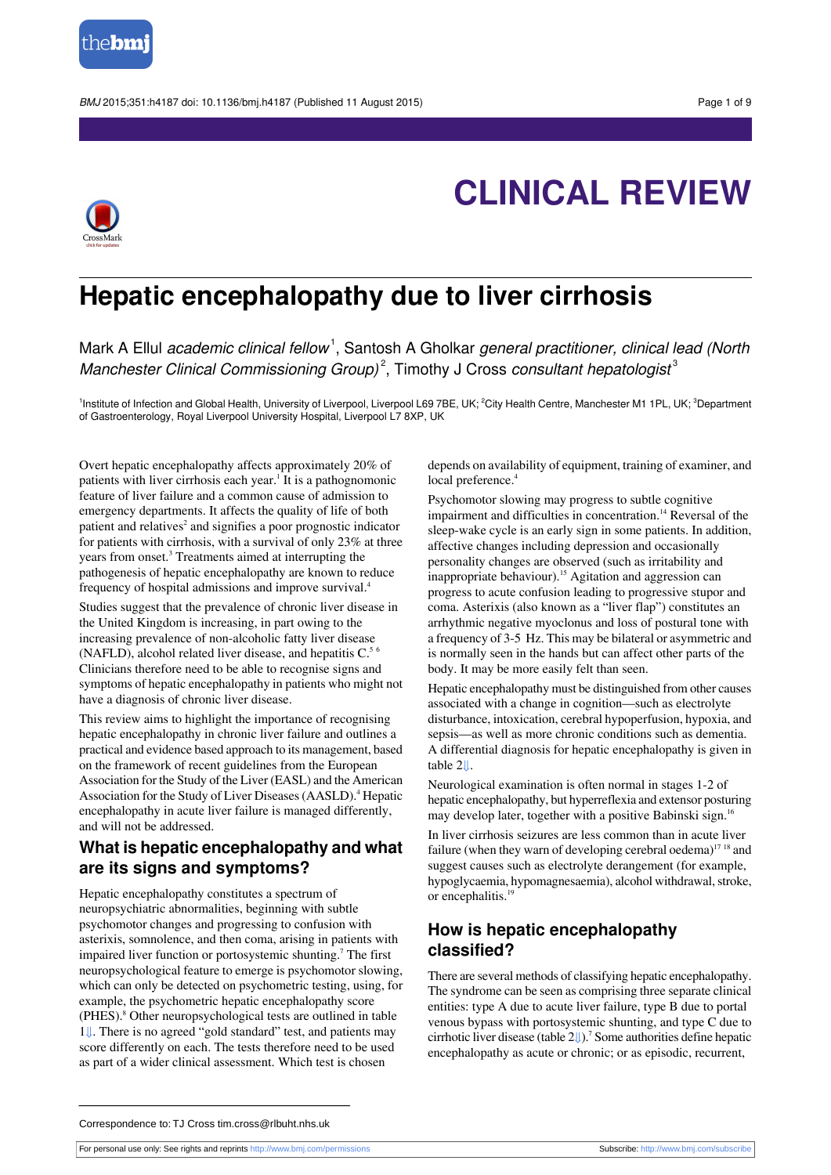



## **Hepatic encephalopathy due to liver cirrhosis**

Mark A Ellul *academic clinical fellow*<sup>1</sup>, Santosh A Gholkar *general practitioner, clinical lead (North* Manchester Clinical Commissioning Group)<sup>2</sup>, Timothy J Cross consultant hepatologist<sup>3</sup>

<sup>1</sup>Institute of Infection and Global Health, University of Liverpool, Liverpool L69 7BE, UK; <sup>2</sup>City Health Centre, Manchester M1 1PL, UK; <sup>3</sup>Department of Gastroenterology, Royal Liverpool University Hospital, Liverpool L7 8XP, UK

Overt hepatic encephalopathy affects approximately 20% of patients with liver cirrhosis each year.<sup>1</sup> It is a pathognomonic feature of liver failure and a common cause of admission to emergency departments. It affects the quality of life of both patient and relatives<sup>2</sup> and signifies a poor prognostic indicator for patients with cirrhosis, with a survival of only 23% at three years from onset.<sup>3</sup> Treatments aimed at interrupting the pathogenesis of hepatic encephalopathy are known to reduce frequency of hospital admissions and improve survival.<sup>4</sup>

Studies suggest that the prevalence of chronic liver disease in the United Kingdom is increasing, in part owing to the increasing prevalence of non-alcoholic fatty liver disease (NAFLD), alcohol related liver disease, and hepatitis C.<sup>5 6</sup> Clinicians therefore need to be able to recognise signs and symptoms of hepatic encephalopathy in patients who might not have a diagnosis of chronic liver disease.

This review aims to highlight the importance of recognising hepatic encephalopathy in chronic liver failure and outlines a practical and evidence based approach to its management, based on the framework of recent guidelines from the European Association for the Study of the Liver (EASL) and the American Association for the Study of Liver Diseases (AASLD).<sup>4</sup> Hepatic encephalopathy in acute liver failure is managed differently, and will not be addressed.

### **What is hepatic encephalopathy and what are its signs and symptoms?**

Hepatic encephalopathy constitutes a spectrum of neuropsychiatric abnormalities, beginning with subtle psychomotor changes and progressing to confusion with asterixis, somnolence, and then coma, arising in patients with impaired liver function or portosystemic shunting.<sup>7</sup> The first neuropsychological feature to emerge is psychomotor slowing, which can only be detected on psychometric testing, using, for example, the psychometric hepatic encephalopathy score (PHES).<sup>8</sup> Other neuropsychological tests are outlined in table [1⇓](#page-6-0). There is no agreed "gold standard" test, and patients may score differently on each. The tests therefore need to be used as part of a wider clinical assessment. Which test is chosen

depends on availability of equipment, training of examiner, and local preference.<sup>4</sup>

Psychomotor slowing may progress to subtle cognitive impairment and difficulties in concentration.<sup>14</sup> Reversal of the sleep-wake cycle is an early sign in some patients. In addition, affective changes including depression and occasionally personality changes are observed (such as irritability and inappropriate behaviour).<sup>15</sup> Agitation and aggression can progress to acute confusion leading to progressive stupor and coma. Asterixis (also known as a "liver flap") constitutes an arrhythmic negative myoclonus and loss of postural tone with a frequency of 3-5 Hz. This may be bilateral or asymmetric and is normally seen in the hands but can affect other parts of the body. It may be more easily felt than seen.

Hepatic encephalopathy must be distinguished from other causes associated with a change in cognition—such as electrolyte disturbance, intoxication, cerebral hypoperfusion, hypoxia, and sepsis—as well as more chronic conditions such as dementia. A differential diagnosis for hepatic encephalopathy is given in table 2[⇓.](#page-7-0)

Neurological examination is often normal in stages 1-2 of hepatic encephalopathy, but hyperreflexia and extensor posturing may develop later, together with a positive Babinski sign.<sup>16</sup>

In liver cirrhosis seizures are less common than in acute liver failure (when they warn of developing cerebral oedema) $1718$  and suggest causes such as electrolyte derangement (for example, hypoglycaemia, hypomagnesaemia), alcohol withdrawal, stroke, or encephalitis.<sup>19</sup>

### **How is hepatic encephalopathy classified?**

There are several methods of classifying hepatic encephalopathy. The syndrome can be seen as comprising three separate clinical entities: type A due to acute liver failure, type B due to portal venous bypass with portosystemic shunting, and type C due to cirrhotic liver disease (table 2[⇓\)](#page-7-0).<sup>7</sup> Some authorities define hepatic encephalopathy as acute or chronic; or as episodic, recurrent,

Correspondence to: TJ Cross tim.cross@rlbuht.nhs.uk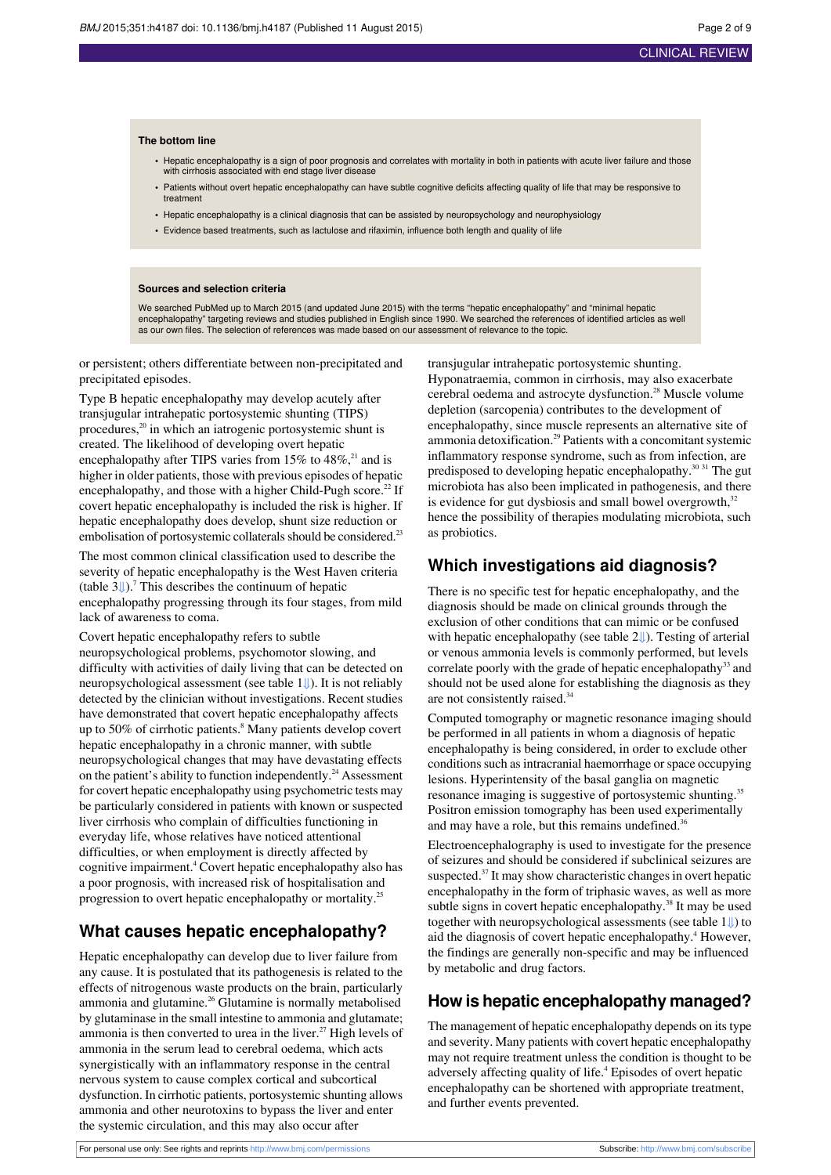#### **The bottom line**

- **•** Hepatic encephalopathy is a sign of poor prognosis and correlates with mortality in both in patients with acute liver failure and those with cirrhosis associated with end stage liver disease
- Patients without overt hepatic encephalopathy can have subtle cognitive deficits affecting quality of life that may be responsive to treatment
- **•** Hepatic encephalopathy is a clinical diagnosis that can be assisted by neuropsychology and neurophysiology
- **•** Evidence based treatments, such as lactulose and rifaximin, influence both length and quality of life

#### **Sources and selection criteria**

We searched PubMed up to March 2015 (and updated June 2015) with the terms "hepatic encephalopathy" and "minimal hepatic encephalopathy" targeting reviews and studies published in English since 1990. We searched the references of identified articles as well<br>as our own files. The selection of references was made based on our assessment of rel

or persistent; others differentiate between non-precipitated and precipitated episodes.

Type B hepatic encephalopathy may develop acutely after transjugular intrahepatic portosystemic shunting (TIPS) procedures,<sup>20</sup> in which an iatrogenic portosystemic shunt is created. The likelihood of developing overt hepatic encephalopathy after TIPS varies from 15% to  $48\%,$ <sup>21</sup> and is higher in older patients, those with previous episodes of hepatic encephalopathy, and those with a higher Child-Pugh score.<sup>22</sup> If covert hepatic encephalopathy is included the risk is higher. If hepatic encephalopathy does develop, shunt size reduction or embolisation of portosystemic collaterals should be considered.<sup>23</sup>

The most common clinical classification used to describe the severity of hepatic encephalopathy is the West Haven criteria (table  $3\sqrt{1}$ ).<sup>7</sup> This describes the continuum of hepatic encephalopathy progressing through its four stages, from mild lack of awareness to coma.

Covert hepatic encephalopathy refers to subtle neuropsychological problems, psychomotor slowing, and difficulty with activities of daily living that can be detected on neuropsychological assessment (see table [1⇓](#page-6-0)). It is not reliably detected by the clinician without investigations. Recent studies have demonstrated that covert hepatic encephalopathy affects up to 50% of cirrhotic patients.<sup>8</sup> Many patients develop covert hepatic encephalopathy in a chronic manner, with subtle neuropsychological changes that may have devastating effects on the patient's ability to function independently.<sup>24</sup> Assessment for covert hepatic encephalopathy using psychometric tests may be particularly considered in patients with known or suspected liver cirrhosis who complain of difficulties functioning in everyday life, whose relatives have noticed attentional difficulties, or when employment is directly affected by cognitive impairment.<sup>4</sup> Covert hepatic encephalopathy also has a poor prognosis, with increased risk of hospitalisation and progression to overt hepatic encephalopathy or mortality.<sup>25</sup>

### **What causes hepatic encephalopathy?**

Hepatic encephalopathy can develop due to liver failure from any cause. It is postulated that its pathogenesis is related to the effects of nitrogenous waste products on the brain, particularly ammonia and glutamine.<sup>26</sup> Glutamine is normally metabolised by glutaminase in the small intestine to ammonia and glutamate; ammonia is then converted to urea in the liver. $27$  High levels of ammonia in the serum lead to cerebral oedema, which acts synergistically with an inflammatory response in the central nervous system to cause complex cortical and subcortical dysfunction. In cirrhotic patients, portosystemic shunting allows ammonia and other neurotoxins to bypass the liver and enter the systemic circulation, and this may also occur after

transjugular intrahepatic portosystemic shunting. Hyponatraemia, common in cirrhosis, may also exacerbate cerebral oedema and astrocyte dysfunction.<sup>28</sup> Muscle volume depletion (sarcopenia) contributes to the development of encephalopathy, since muscle represents an alternative site of ammonia detoxification.<sup>29</sup> Patients with a concomitant systemic inflammatory response syndrome, such as from infection, are predisposed to developing hepatic encephalopathy.<sup>30 31</sup> The gut microbiota has also been implicated in pathogenesis, and there is evidence for gut dysbiosis and small bowel overgrowth, $32$ hence the possibility of therapies modulating microbiota, such as probiotics.

### **Which investigations aid diagnosis?**

There is no specific test for hepatic encephalopathy, and the diagnosis should be made on clinical grounds through the exclusion of other conditions that can mimic or be confused with hepatic encephalopathy (see table 2[⇓\)](#page-7-0). Testing of arterial or venous ammonia levels is commonly performed, but levels correlate poorly with the grade of hepatic encephalopathy<sup>33</sup> and should not be used alone for establishing the diagnosis as they are not consistently raised.<sup>34</sup>

Computed tomography or magnetic resonance imaging should be performed in all patients in whom a diagnosis of hepatic encephalopathy is being considered, in order to exclude other conditions such as intracranial haemorrhage or space occupying lesions. Hyperintensity of the basal ganglia on magnetic resonance imaging is suggestive of portosystemic shunting.<sup>35</sup> Positron emission tomography has been used experimentally and may have a role, but this remains undefined.<sup>36</sup>

Electroencephalography is used to investigate for the presence of seizures and should be considered if subclinical seizures are suspected.<sup>37</sup> It may show characteristic changes in overt hepatic encephalopathy in the form of triphasic waves, as well as more subtle signs in covert hepatic encephalopathy.<sup>38</sup> It may be used together with neuropsychological assessments (see table [1⇓](#page-6-0)) to aid the diagnosis of covert hepatic encephalopathy.<sup>4</sup> However, the findings are generally non-specific and may be influenced by metabolic and drug factors.

### **How is hepatic encephalopathy managed?**

The management of hepatic encephalopathy depends on its type and severity. Many patients with covert hepatic encephalopathy may not require treatment unless the condition is thought to be adversely affecting quality of life.<sup>4</sup> Episodes of overt hepatic encephalopathy can be shortened with appropriate treatment, and further events prevented.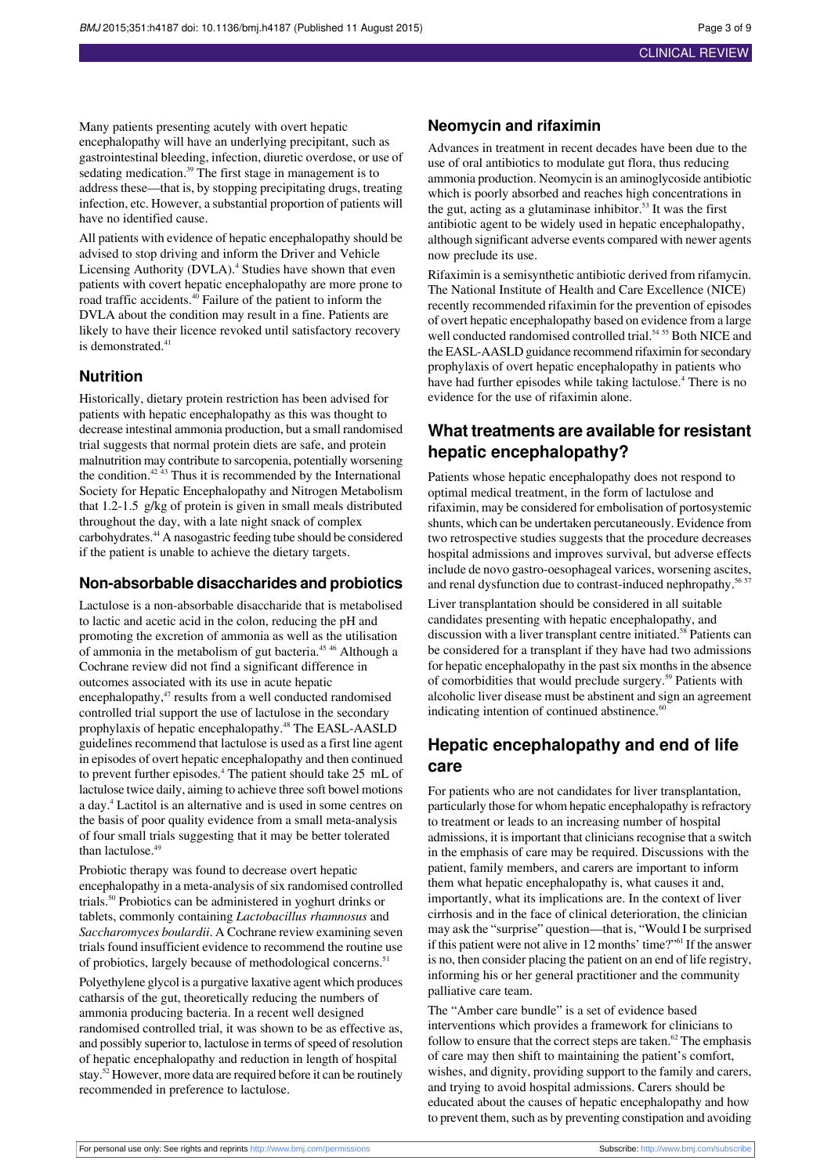Many patients presenting acutely with overt hepatic encephalopathy will have an underlying precipitant, such as gastrointestinal bleeding, infection, diuretic overdose, or use of sedating medication.<sup>39</sup> The first stage in management is to address these—that is, by stopping precipitating drugs, treating infection, etc. However, a substantial proportion of patients will have no identified cause.

All patients with evidence of hepatic encephalopathy should be advised to stop driving and inform the Driver and Vehicle Licensing Authority (DVLA).<sup>4</sup> Studies have shown that even patients with covert hepatic encephalopathy are more prone to road traffic accidents.<sup>40</sup> Failure of the patient to inform the DVLA about the condition may result in a fine. Patients are likely to have their licence revoked until satisfactory recovery is demonstrated.<sup>41</sup>

### **Nutrition**

Historically, dietary protein restriction has been advised for patients with hepatic encephalopathy as this was thought to decrease intestinal ammonia production, but a small randomised trial suggests that normal protein diets are safe, and protein malnutrition may contribute to sarcopenia, potentially worsening the condition.<sup>42 43</sup> Thus it is recommended by the International Society for Hepatic Encephalopathy and Nitrogen Metabolism that 1.2-1.5 g/kg of protein is given in small meals distributed throughout the day, with a late night snack of complex carbohydrates.<sup>44</sup> A nasogastric feeding tube should be considered if the patient is unable to achieve the dietary targets.

### **Non-absorbable disaccharides and probiotics**

Lactulose is a non-absorbable disaccharide that is metabolised to lactic and acetic acid in the colon, reducing the pH and promoting the excretion of ammonia as well as the utilisation of ammonia in the metabolism of gut bacteria.<sup>45 46</sup> Although a Cochrane review did not find a significant difference in outcomes associated with its use in acute hepatic encephalopathy, $47$  results from a well conducted randomised controlled trial support the use of lactulose in the secondary prophylaxis of hepatic encephalopathy.<sup>48</sup> The EASL-AASLD guidelines recommend that lactulose is used as a first line agent in episodes of overt hepatic encephalopathy and then continued to prevent further episodes.<sup>4</sup> The patient should take 25 mL of lactulose twice daily, aiming to achieve three soft bowel motions a day.<sup>4</sup> Lactitol is an alternative and is used in some centres on the basis of poor quality evidence from a small meta-analysis of four small trials suggesting that it may be better tolerated than lactulose.<sup>49</sup>

Probiotic therapy was found to decrease overt hepatic encephalopathy in a meta-analysis of six randomised controlled trials.<sup>50</sup> Probiotics can be administered in yoghurt drinks or tablets, commonly containing *Lactobacillus rhamnosus* and *Saccharomyces boulardii*. A Cochrane review examining seven trials found insufficient evidence to recommend the routine use of probiotics, largely because of methodological concerns.<sup>51</sup>

Polyethylene glycol is a purgative laxative agent which produces catharsis of the gut, theoretically reducing the numbers of ammonia producing bacteria. In a recent well designed randomised controlled trial, it was shown to be as effective as, and possibly superior to, lactulose in terms of speed of resolution of hepatic encephalopathy and reduction in length of hospital stay.<sup>52</sup> However, more data are required before it can be routinely recommended in preference to lactulose.

### **Neomycin and rifaximin**

Advances in treatment in recent decades have been due to the use of oral antibiotics to modulate gut flora, thus reducing ammonia production. Neomycin is an aminoglycoside antibiotic which is poorly absorbed and reaches high concentrations in the gut, acting as a glutaminase inhibitor. $53$  It was the first antibiotic agent to be widely used in hepatic encephalopathy, although significant adverse events compared with newer agents now preclude its use.

Rifaximin is a semisynthetic antibiotic derived from rifamycin. The National Institute of Health and Care Excellence (NICE) recently recommended rifaximin for the prevention of episodes of overt hepatic encephalopathy based on evidence from a large well conducted randomised controlled trial.<sup>54 55</sup> Both NICE and the EASL-AASLD guidance recommend rifaximin for secondary prophylaxis of overt hepatic encephalopathy in patients who have had further episodes while taking lactulose.<sup>4</sup> There is no evidence for the use of rifaximin alone.

### **What treatments are available forresistant hepatic encephalopathy?**

Patients whose hepatic encephalopathy does not respond to optimal medical treatment, in the form of lactulose and rifaximin, may be considered for embolisation of portosystemic shunts, which can be undertaken percutaneously. Evidence from two retrospective studies suggests that the procedure decreases hospital admissions and improves survival, but adverse effects include de novo gastro-oesophageal varices, worsening ascites, and renal dysfunction due to contrast-induced nephropathy.<sup>56 57</sup>

Liver transplantation should be considered in all suitable candidates presenting with hepatic encephalopathy, and discussion with a liver transplant centre initiated.<sup>58</sup> Patients can be considered for a transplant if they have had two admissions for hepatic encephalopathy in the past six months in the absence of comorbidities that would preclude surgery.<sup>59</sup> Patients with alcoholic liver disease must be abstinent and sign an agreement indicating intention of continued abstinence. $60$ 

### **Hepatic encephalopathy and end of life care**

For patients who are not candidates for liver transplantation, particularly those for whom hepatic encephalopathy is refractory to treatment or leads to an increasing number of hospital admissions, it is important that clinicians recognise that a switch in the emphasis of care may be required. Discussions with the patient, family members, and carers are important to inform them what hepatic encephalopathy is, what causes it and, importantly, what its implications are. In the context of liver cirrhosis and in the face of clinical deterioration, the clinician may ask the "surprise" question—that is, "Would I be surprised if this patient were not alive in 12 months' time?"<sup>61</sup> If the answer is no, then consider placing the patient on an end of life registry, informing his or her general practitioner and the community palliative care team.

The "Amber care bundle" is a set of evidence based interventions which provides a framework for clinicians to follow to ensure that the correct steps are taken. $62$  The emphasis of care may then shift to maintaining the patient's comfort, wishes, and dignity, providing support to the family and carers, and trying to avoid hospital admissions. Carers should be educated about the causes of hepatic encephalopathy and how to prevent them, such as by preventing constipation and avoiding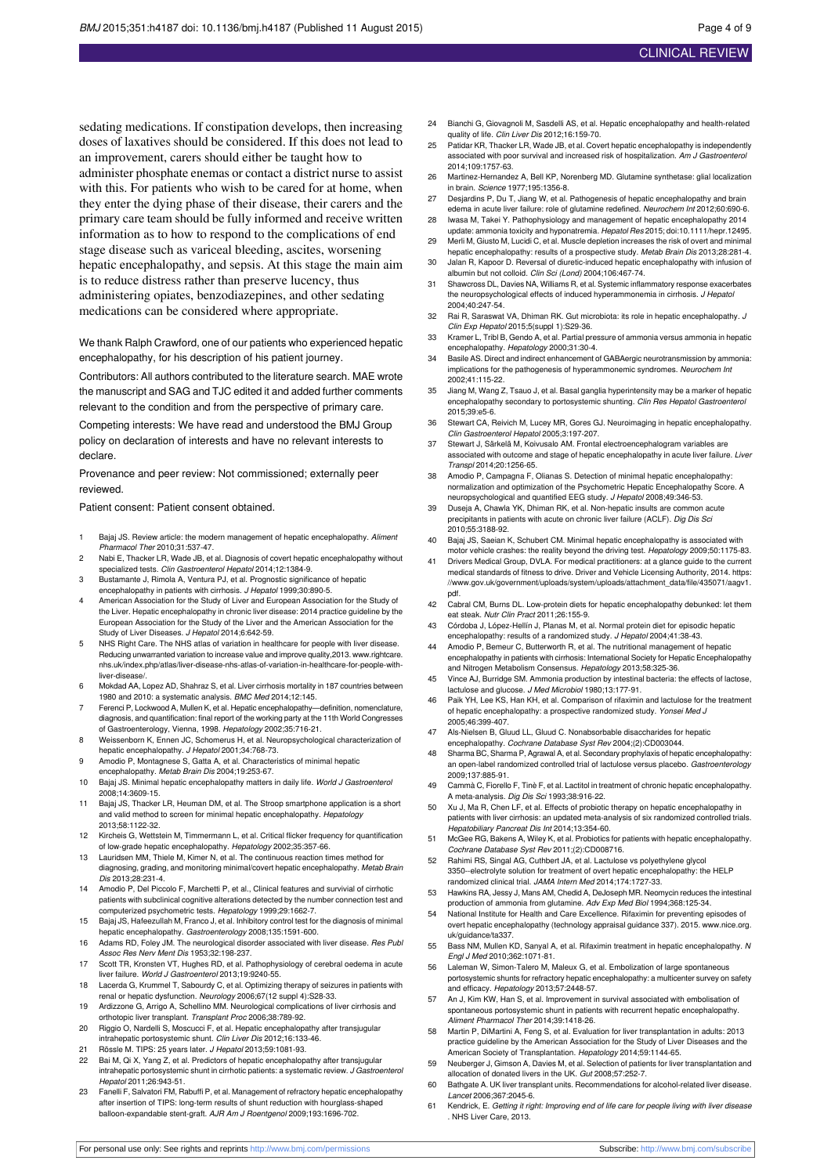sedating medications. If constipation develops, then increasing doses of laxatives should be considered. If this does not lead to an improvement, carers should either be taught how to administer phosphate enemas or contact a district nurse to assist with this. For patients who wish to be cared for at home, when they enter the dying phase of their disease, their carers and the primary care team should be fully informed and receive written information as to how to respond to the complications of end stage disease such as variceal bleeding, ascites, worsening hepatic encephalopathy, and sepsis. At this stage the main aim is to reduce distress rather than preserve lucency, thus administering opiates, benzodiazepines, and other sedating medications can be considered where appropriate.

We thank Ralph Crawford, one of our patients who experienced hepatic encephalopathy, for his description of his patient journey.

Contributors: All authors contributed to the literature search. MAE wrote the manuscript and SAG and TJC edited it and added further comments relevant to the condition and from the perspective of primary care.

Competing interests: We have read and understood the BMJ Group policy on declaration of interests and have no relevant interests to declare.

Provenance and peer review: Not commissioned; externally peer reviewed.

Patient consent: Patient consent obtained.

- 1 Bajaj JS. Review article: the modern management of hepatic encephalopathy. Aliment acol Ther 2010:31:537-47.
- 2 Nabi E, Thacker LR, Wade JB, et al. Diagnosis of covert hepatic encephalopathy without specialized tests. Clin Gastroenterol Hepatol 2014;12:1384-9.
- 3 Bustamante J, Rimola A, Ventura PJ, et al. Prognostic significance of hepatic encephalopathy in patients with cirrhosis. J Hepatol 1999;30:890-5.
- 4 American Association for the Study of Liver and European Association for the Study of the Liver. Hepatic encephalopathy in chronic liver disease: 2014 practice guideline by the European Association for the Study of the Liver and the American Association for the Study of Liver Diseases. J Hepatol 2014;6:642-59.
- 5 NHS Right Care. The NHS atlas of variation in healthcare for people with liver disease. Reducing unwarranted variation to increase value and improve quality, 2013. www.rightcare [nhs.uk/index.php/atlas/liver-disease-nhs-atlas-of-variation-in-healthcare-for-people-with](http://www.rightcare.nhs.uk/index.php/atlas/liver-disease-nhs-atlas-of-variation-in-healthcare-for-people-with-liver-disease/)[liver-disease/.](http://www.rightcare.nhs.uk/index.php/atlas/liver-disease-nhs-atlas-of-variation-in-healthcare-for-people-with-liver-disease/)
- 6 Mokdad AA, Lopez AD, Shahraz S, et al. Liver cirrhosis mortality in 187 countries between 1980 and 2010: a systematic analysis. BMC Med 2014;12:145.
- 7 Ferenci P, Lockwood A, Mullen K, et al. Hepatic encephalopathy—definition, nomenclature, diagnosis, and quantification: final report of the working party at the 11th World Congresses of Gastroenterology, Vienna, 1998. Hepatology 2002;35:716-21.
- Weissenborn K, Ennen JC, Schomerus H, et al. Neuropsychological characterization of hepatic encephalopathy. J Hepatol 2001;34:768-73.
- 9 Amodio P, Montagnese S, Gatta A, et al. Characteristics of minimal hepatic encephalopathy. Metab Brain Dis 2004;19:253-67.
- 10 Bajaj JS. Minimal hepatic encephalopathy matters in daily life. World J Gastroenterol 2008;14:3609-15.
- 11 Bajaj JS, Thacker LR, Heuman DM, et al. The Stroop smartphone application is a short and valid method to screen for minimal hepatic encephalopathy. Hepatology 2013;58:1122-32.
- 12 Kircheis G, Wettstein M, Timmermann L, et al. Critical flicker frequency for quantification of low-grade hepatic encephalopathy. Hepatology 2002;35:357-66.
- 13 Lauridsen MM, Thiele M, Kimer N, et al. The continuous reaction times method for diagnosing, grading, and monitoring minimal/covert hepatic encephalopathy. Metab Brain Dis 2013;28:231-4.
- 14 Amodio P, Del Piccolo F, Marchetti P, et al., Clinical features and survivial of cirrhotic patients with subclinical cognitive alterations detected by the number connection test and computerized psychometric tests. Hepatology 1999;29:1662-7.
- 15 Bajaj JS, Hafeezullah M, Franco J, et al. Inhibitory control test for the diagnosis of minimal hepatic encephalopathy. Gastroenterology 2008;135:1591-600.
- 16 Adams RD, Foley JM. The neurological disorder associated with liver disease. Res Publ Assoc Res Nerv Ment Dis 1953;32:198-237. 17 Scott TR, Kronsten VT, Hughes RD, et al. Pathophysiology of cerebral oedema in acute
- liver failure. World J Gastroenterol 2013;19:9240-55 18 Lacerda G, Krummel T, Sabourdy C, et al. Optimizing therapy of seizures in patients with
- renal or hepatic dysfunction. Neurology 2006;67(12 suppl 4):S28-33. 19 Ardizzone G, Arrigo A, Schellino MM. Neurological complications of liver cirrhosis and
- orthotopic liver transplant. Transplant Proc 2006;38:789-92. 20 Riggio O, Nardelli S, Moscucci F, et al. Hepatic encephalopathy after transiugular
- intrahepatic portosystemic shunt. Clin Liver Dis 2012;16:133-46. 21 Rössle M. TIPS: 25 years later. J Hepatol 2013;59:1081-93.
- 22 Bai M, Qi X, Yang Z, et al. Predictors of hepatic encephalopathy after transjugular intrahepatic portosystemic shunt in cirrhotic patients: a systematic review. J Gastroenterol Hepatol 2011;26:943-51.
- 23 Fanelli F, Salvatori FM, Rabuffi P, et al. Management of refractory hepatic encephalopathy after insertion of TIPS: long-term results of shunt reduction with hourglass-shaped balloon-expandable stent-graft. AJR Am J Roentgenol 2009;193:1696-702.
- 24 Bianchi G, Giovagnoli M, Sasdelli AS, et al. Hepatic encephalopathy and health-related quality of life. Clin Liver Dis 2012;16:159-70.
- 25 Patidar KR, Thacker LR, Wade JB, et al. Covert hepatic encephalopathy is independently associated with poor survival and increased risk of hospitalization. Am J Gastroenter 2014;109:1757-63.
- 26 Martinez-Hernandez A, Bell KP, Norenberg MD. Glutamine synthetase: glial localization in brain. Science 1977;195:1356-8.
- 27 Desjardins P, Du T, Jiang W, et al. Pathogenesis of hepatic encephalopathy and brain edema in acute liver failure: role of glutamine redefined. Neurochem Int 2012;60:690-6.
- 28 Iwasa M, Takei Y. Pathophysiology and management of hepatic encephalopathy 2014 update: ammonia toxicity and hyponatremia. Hepatol Res 2015; doi:[10.1111/hepr.12495](http://dx.doi.org/10.1111/hepr.12495).
- 29 Merli M, Giusto M, Lucidi C, et al. Muscle depletion increases the risk of overt and minimal hepatic encephalopathy: results of a prospective study. Metab Brain Dis 2013;28:281-4. 30 Jalan R, Kapoor D. Reversal of diuretic-induced hepatic encephalopathy with infusion of
- albumin but not colloid. Clin Sci (Lond) 2004;106:467-74. 31 Shawcross DL, Davies NA, Williams R, et al. Systemic inflammatory response exacerbates the neuropsychological effects of induced hyperammonemia in cirrhosis. J Hepatol
- 2004;40:247-54. 32 Rai R, Saraswat VA, Dhiman RK. Gut microbiota: its role in hepatic encephalopathy. J
- Clin Exp Hepatol 2015;5(suppl 1):S29-36. 33 Kramer L, Tribl B, Gendo A, et al. Partial pressure of ammonia versus ammonia in hepatic
- encephalopathy. Hepatology 2000;31:30-4. 34 Basile AS. Direct and indirect enhancement of GABAergic neurotransmission by ammonia: implications for the pathogenesis of hyperammonemic syndromes. Neurochem Int
- 2002;41:115-22. 35 Jiang M, Wang Z, Tsauo J, et al. Basal ganglia hyperintensity may be a marker of hepatic encephalopathy secondary to portosystemic shunting. Clin Res Hepatol Gastroenterol
- 2015;39:e5-6. 36 Stewart CA, Reivich M, Lucey MR, Gores GJ. Neuroimaging in hepatic encephalopathy. Clin Gastroenterol Hepatol 2005;3:197-207.
- 37 Stewart J, Särkelä M, Koivusalo AM. Frontal electroencephalogram variables are associated with outcome and stage of hepatic encephalopathy in acute liver failure. Live Transpl 2014;20:1256-65.
- 38 Amodio P, Campagna F, Olianas S. Detection of minimal hepatic encephalopathy: normalization and optimization of the Psychometric Hepatic Encephalopathy Score. A neuropsychological and quantified EEG study. J Hepatol 2008;49:346-53.
- 39 Duseja A, Chawla YK, Dhiman RK, et al. Non-hepatic insults are common acute precipitants in patients with acute on chronic liver failure (ACLF). Dig Dis Sci 2010;55:3188-92.
- 40 Bajaj JS, Saeian K, Schubert CM. Minimal hepatic encephalopathy is associated with
- motor vehicle crashes: the reality beyond the driving test. Hepatology 2009;50:1175-83. 41 Drivers Medical Group, DVLA. For medical practitioners: at a glance guide to the current medical standards of fitness to drive. Driver and Vehicle Licensing Authority, 2014. https: //www.gov.uk/government/uploads/system/uploads/attachment\_data/file/435071/aagv1. pdf.
- 42 Cabral CM, Burns DL. Low-protein diets for hepatic encephalopathy debunked: let them eat steak. Nutr Clin Pract 2011;26:155-9.
- 43 Córdoba J, López-Hellín J, Planas M, et al. Normal protein diet for episodic hepatic encephalopathy: results of a randomized study. J Hepatol 2004;41:38-43.
- 44 Amodio P, Bemeur C, Butterworth R, et al. The nutritional management of hepatic encephalopathy in patients with cirrhosis: International Society for Hepatic Encephalopathy and Nitrogen Metabolism Consensus. Hepatology 2013;58:325-36.
- 45 Vince AJ, Burridge SM. Ammonia production by intestinal bacteria: the effects of lactose, lactulose and glucose. J Med Microbiol 1980;13:177-91.
- 46 Paik YH, Lee KS, Han KH, et al. Comparison of rifaximin and lactulose for the treatment of hepatic encephalopathy: a prospective randomized study. Yonsei Med J 2005;46:399-407.
- 47 Als-Nielsen B, Gluud LL, Gluud C. Nonabsorbable disaccharides for hepatic
- encephalopathy. Cochrane Database Syst Rev 2004;(2):CD003044. 48 Sharma BC, Sharma P, Agrawal A, et al. Secondary prophylaxis of hepatic encephalopathy: an open-label randomized controlled trial of lactulose versus placebo. Gastroenterology
- 2009;137:885-91. 49 Cammà C, Fiorello F, Tinè F, et al. Lactitol in treatment of chronic hepatic encephalopathy. A meta-analysis. Dig Dis Sci 1993;38:916-22.
- Xu J, Ma R, Chen LF, et al. Effects of probiotic therapy on hepatic encephalopathy in patients with liver cirrhosis: an updated meta-analysis of six randomized controlled trials. Hepatobiliary Pancreat Dis Int 2014;13:354-60.
- 51 McGee RG, Bakens A, Wiley K, et al. Probiotics for patients with hepatic encephalopathy. Cochrane Database Syst Rev 2011;(2):CD008716.
- 52 Rahimi RS, Singal AG, Cuthbert JA, et al. Lactulose vs polyethylene glycol 3350--electrolyte solution for treatment of overt hepatic encephalopathy: the HELP randomized clinical trial. JAMA Intern Med 2014;174:1727-33.
- 53 Hawkins RA, Jessy J, Mans AM, Chedid A, DeJoseph MR. Neomycin reduces the intestinal
- production of ammonia from glutamine. Adv Exp Med Biol 1994;368:125-34.<br>54 National Institute for Health and Care Excellence. Rifaximin for preventing episodes of overt hepatic encephalopathy (technology appraisal guidance 337). 2015. [www.nice.org.](http://www.nice.org.uk/guidance/ta337) [uk/guidance/ta337.](http://www.nice.org.uk/guidance/ta337)
- 55 Bass NM, Mullen KD, Sanyal A, et al. Rifaximin treatment in hepatic encephalopathy. N Engl J Med 2010;362:1071-81.
- 56 Laleman W, Simon-Talero M, Maleux G, et al. Embolization of large spontaneous portosystemic shunts for refractory hepatic encephalopathy: a multicenter survey on safety and efficacy. Hepatology 2013;57:2448-57.
- 57 An J, Kim KW, Han S, et al. Improvement in survival associated with embolisation of spontaneous portosystemic shunt in patients with recurrent hepatic encephalopathy. Aliment Pharmacol Ther 2014;39:1418-26.
- 58 Martin P, DiMartini A, Feng S, et al. Evaluation for liver transplantation in adults: 2013 practice guideline by the American Association for the Study of Liver Diseases and the .<br>American Society of Transplantation. Hepatology 2014;59:1144-65.
- 59 Neuberger J, Gimson A, Davies M, et al. Selection of patients for liver transplantation and allocation of donated livers in the UK. Gut 2008;57:252-7.
- 60 Bathgate A. UK liver transplant units. Recommendations for alcohol-related liver disease. Lancet 2006;367:2045-6.
- 61 Kendrick, E. Getting it right: Improving end of life care for people living with liver disease . NHS Liver Care, 2013.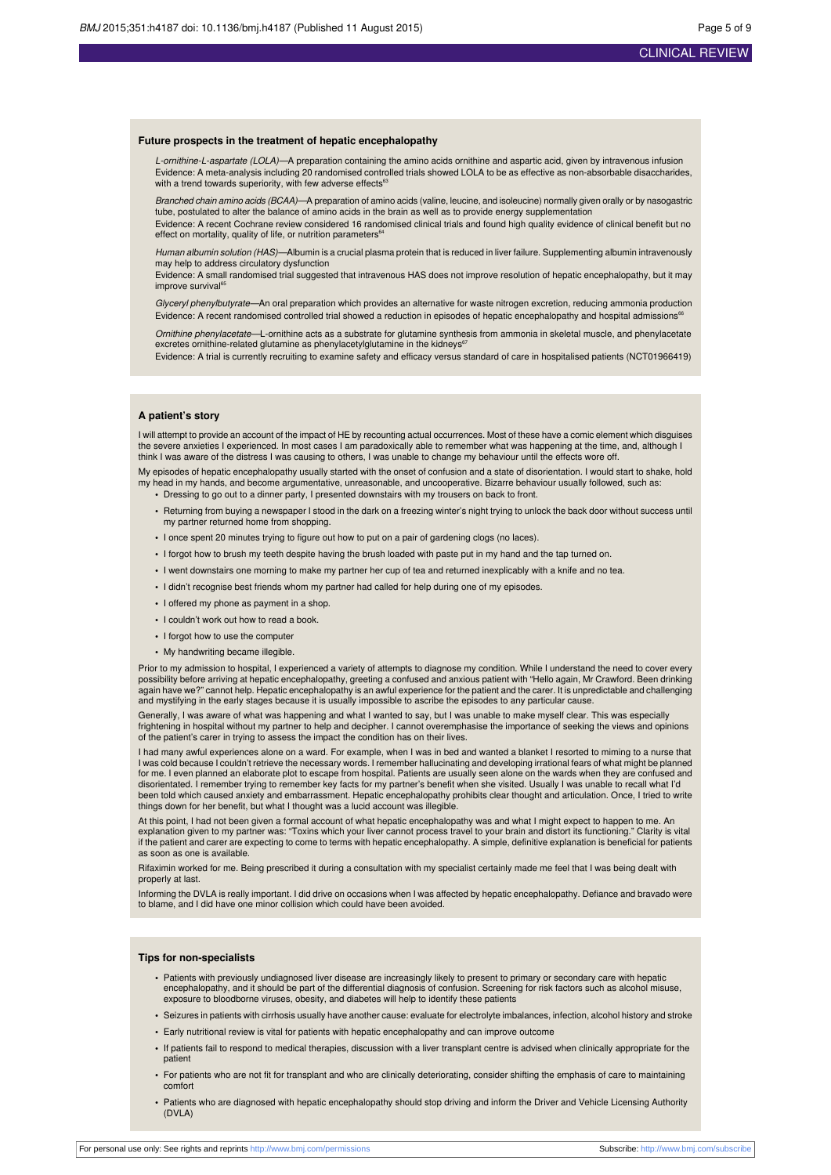#### **Future prospects in the treatment of hepatic encephalopathy**

L-ornithine-L-aspartate (LOLA)—A preparation containing the amino acids ornithine and aspartic acid, given by intravenous infusion Evidence: A meta-analysis including 20 randomised controlled trials showed LOLA to be as effective as non-absorbable disaccharides, with a trend towards superiority, with few adverse effects<sup>63</sup>

Branched chain amino acids (BCAA)—A preparation of amino acids (valine, leucine, and isoleucine) normally given orally or by nasogastric tube, postulated to alter the balance of amino acids in the brain as well as to provide energy supplementation Evidence: A recent Cochrane review considered 16 randomised clinical trials and found high quality evidence of clinical benefit but no

effect on mortality, quality of life, or nutrition parameters<sup>64</sup>

Human albumin solution (HAS)—Albumin is a crucial plasma protein that is reduced in liver failure. Supplementing albumin intravenously may help to address circulatory dysfunction

Evidence: A small randomised trial suggested that intravenous HAS does not improve resolution of hepatic encephalopathy, but it may improve survival<sup>65</sup>

Glyceryl phenylbutyrate—An oral preparation which provides an alternative for waste nitrogen excretion, reducing ammonia production Evidence: A recent randomised controlled trial showed a reduction in episodes of hepatic encephalopathy and hospital admissions<sup>66</sup>

Ornithine phenylacetate—L-ornithine acts as a substrate for glutamine synthesis from ammonia in skeletal muscle, and phenylacetate excretes ornithine-related glutamine as phenylacetylglutamine in the kidneys<sup>1</sup>

Evidence: A trial is currently recruiting to examine safety and efficacy versus standard of care in hospitalised patients (NCT01966419)

#### **A patient's story**

I will attempt to provide an account of the impact of HE by recounting actual occurrences. Most of these have a comic element which disguises the severe anxieties I experienced. In most cases I am paradoxically able to remember what was happening at the time, and, although I think I was aware of the distress I was causing to others, I was unable to change my behaviour until the effects wore off.

My episodes of hepatic encephalopathy usually started with the onset of confusion and a state of disorientation. I would start to shake, hold<br>my head in my hands, and become argumentative, unreasonable, and uncooperative.

- **•** Dressing to go out to a dinner party, I presented downstairs with my trousers on back to front.
- **•** Returning from buying a newspaper I stood in the dark on a freezing winter's night trying to unlock the back door without success until my partner returned home from shopping.
- I once spent 20 minutes trying to figure out how to put on a pair of gardening clogs (no laces).
- **•** I forgot how to brush my teeth despite having the brush loaded with paste put in my hand and the tap turned on.
- **•** I went downstairs one morning to make my partner her cup of tea and returned inexplicably with a knife and no tea.
- **•** I didn't recognise best friends whom my partner had called for help during one of my episodes.
- **•** I offered my phone as payment in a shop.
- **•** I couldn't work out how to read a book.
- **•** I forgot how to use the computer
- **•** My handwriting became illegible.

Prior to my admission to hospital, I experienced a variety of attempts to diagnose my condition. While I understand the need to cover every possibility before arriving at hepatic encephalopathy, greeting a confused and anxious patient with "Hello again, Mr Crawford. Been drinking again have we?" cannot help. Hepatic encephalopathy is an awful experience for the patient and the carer. It is unpredictable and challenging and mystifying in the early stages because it is usually impossible to ascribe the episodes to any particular cause.

Generally, I was aware of what was happening and what I wanted to say, but I was unable to make myself clear. This was especially frightening in hospital without my partner to help and decipher. I cannot overemphasise the importance of seeking the views and opinions of the patient's carer in trying to assess the impact the condition has on their lives.

I had many awful experiences alone on a ward. For example, when I was in bed and wanted a blanket I resorted to miming to a nurse that I was cold because I couldn't retrieve the necessary words. I remember hallucinating and developing irrational fears of what might be planned for me. I even planned an elaborate plot to escape from hospital. Patients are usually seen alone on the wards when they are confused and disorientated. I remember trying to remember key facts for my partner's benefit when she visited. Usually I was unable to recall what I'd<br>been told which caused anxiety and embarrassment. Hepatic encephalopathy prohibits c things down for her benefit, but what I thought was a lucid account was illegible.

At this point, I had not been given a formal account of what hepatic encephalopathy was and what I might expect to happen to me. An explanation given to my partner was: "Toxins which your liver cannot process travel to your brain and distort its functioning." Clarity is vital<br>if the patient and carer are expecting to come to terms with hepatic encephal as soon as one is available.

Rifaximin worked for me. Being prescribed it during a consultation with my specialist certainly made me feel that I was being dealt with properly at last.

Informing the DVLA is really important. I did drive on occasions when I was affected by hepatic encephalopathy. Defiance and bravado were to blame, and I did have one minor collision which could have been avoided.

#### **Tips for non-specialists**

- **•** Patients with previously undiagnosed liver disease are increasingly likely to present to primary or secondary care with hepatic encephalopathy, and it should be part of the differential diagnosis of confusion. Screening for risk factors such as alcohol misuse,<br>exposure to bloodborne viruses, obesity, and diabetes will help to identify these patient
- **•** Seizures in patients with cirrhosis usually have another cause: evaluate for electrolyte imbalances, infection, alcohol history and stroke
- **•** Early nutritional review is vital for patients with hepatic encephalopathy and can improve outcome
- **•** If patients fail to respond to medical therapies, discussion with a liver transplant centre is advised when clinically appropriate for the patient
- **•** For patients who are not fit for transplant and who are clinically deteriorating, consider shifting the emphasis of care to maintaining comfort
- **•** Patients who are diagnosed with hepatic encephalopathy should stop driving and inform the Driver and Vehicle Licensing Authority  $(DVI A)$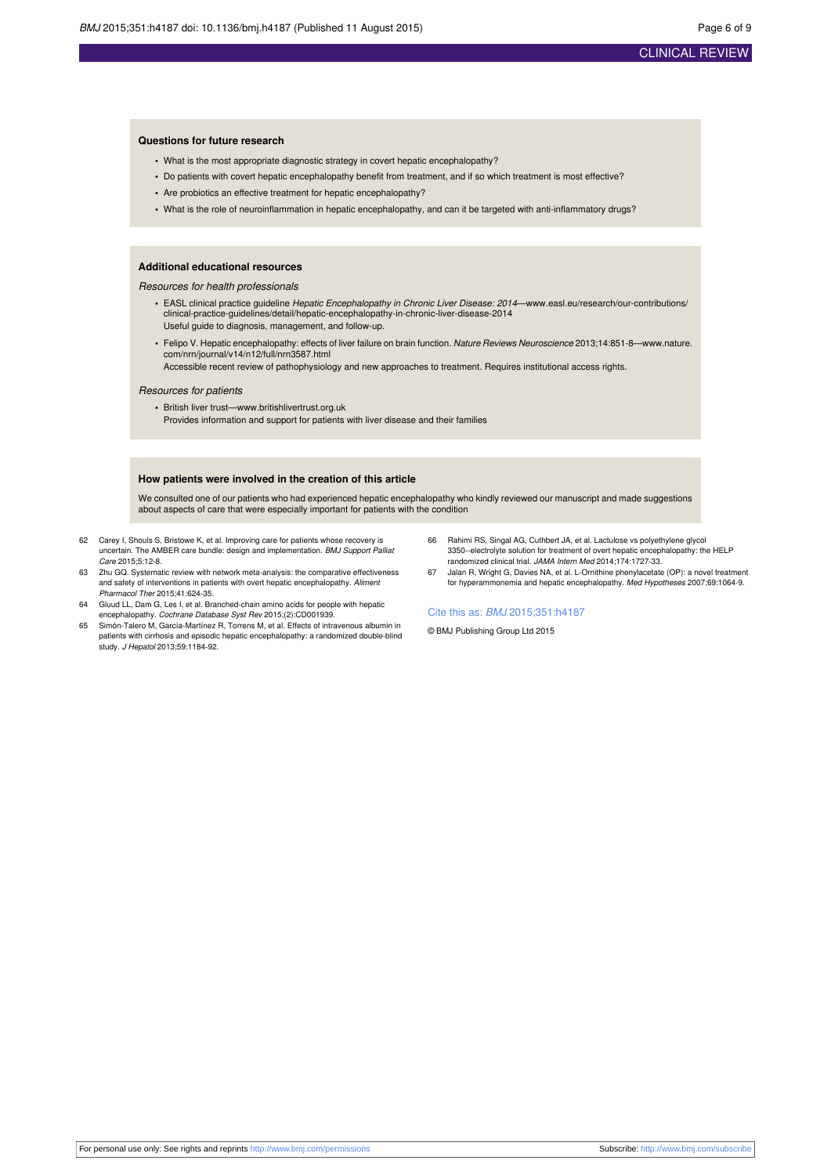#### **Questions for future research**

- **•** What is the most appropriate diagnostic strategy in covert hepatic encephalopathy?
- **•** Do patients with covert hepatic encephalopathy benefit from treatment, and if so which treatment is most effective?
- **•** Are probiotics an effective treatment for hepatic encephalopathy?
- **•** What is the role of neuroinflammation in hepatic encephalopathy, and can it be targeted with anti-inflammatory drugs?

#### **Additional educational resources**

Resources for health professionals

- EASL clinical practice guideline *Hepatic Encephalopathy in Chronic Liver Disease: 2014*—[www.easl.eu/research/our-contributions/](http://www.easl.eu/research/our-contributions/clinical-practice-guidelines/detail/hepatic-encephalopathy-in-chronic-liver-disease-2014)<br>[clinical-practice-guidelines/detail/hepatic-encephalopathy-in-chronic-liver-disease-2014](http://www.easl.eu/research/our-contributions/clinical-practice-guidelines/detail/hepatic-encephalopathy-in-chronic-liver-disease-2014) Useful guide to diagnosis, management, and follow-up.
- **•** Felipo V. Hepatic encephalopathy: effects of liver failure on brain function. Nature Reviews Neuroscience 2013;14:851-8[—www.nature.](http://www.nature.com/nrn/journal/v14/n12/full/nrn3587.html) [com/nrn/journal/v14/n12/full/nrn3587.html](http://www.nature.com/nrn/journal/v14/n12/full/nrn3587.html)

Accessible recent review of pathophysiology and new approaches to treatment. Requires institutional access rights.

#### Resources for patients

**•** British liver trust[—www.britishlivertrust.org.uk](http://www.britishlivertrust.org.uk/) Provides information and support for patients with liver disease and their families

#### **How patients were involved in the creation of this article**

We consulted one of our patients who had experienced hepatic encephalopathy who kindly reviewed our manuscript and made suggestions about aspects of care that were especially important for patients with the condition

- 62 Carey I, Shouls S, Bristowe K, et al. Improving care for patients whose recovery is uncertain. The AMBER care bundle: design and implementation. BMJ Support Palliat Care 2015;5:12-8.
- 63 Zhu GQ. Systematic review with network meta-analysis: the comparative effectiveness and safety of interventions in patients with overt hepatic encephalopathy. Aliment Pharmacol Ther 2015;41:624-35.
- 64 Gluud LL, Dam G, Les I, et al. Branched-chain amino acids for people with hepatic encephalopathy. Cochrane Database Syst Rev 2015;(2):CD001939.
- 65 Simón-Talero M, García-Martínez R, Torrens M, et al. Effects of intravenous albumin in patients with cirrhosis and episodic hepatic encephalopathy: a randomized double-blind study. J Hepatol 2013;59:1184-92.
- 66 Rahimi RS, Singal AG, Cuthbert JA, et al. Lactulose vs polyethylene glycol 3350--electrolyte solution for treatment of overt hepatic encephalopathy: the HELP randomized clinical trial. JAMA Intern Med 2014;174:1727-33.
- 67 Jalan R, Wright G, Davies NA, et al. L-Ornithine phenylacetate (OP): a novel treatment for hyperammonemia and hepatic encephalopathy. Med Hypotheses 2007;69:1064-9.

#### Cite this as: BMJ 2015;351:h4187

© BMJ Publishing Group Ltd 2015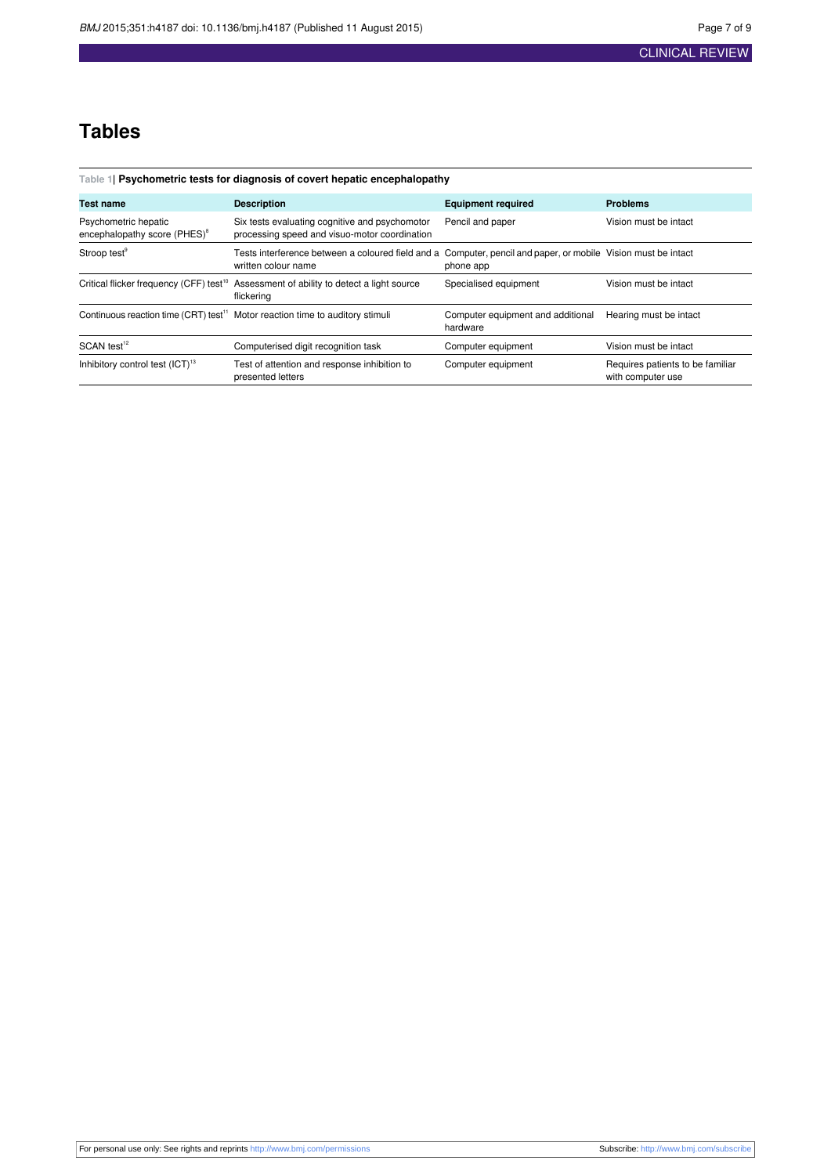### **Tables**

<span id="page-6-0"></span>

| Table 1 Psychometric tests for diagnosis of covert hepatic encephalopathy |
|---------------------------------------------------------------------------|
|---------------------------------------------------------------------------|

| Test name                                                        | <b>Description</b>                                                                                               | <b>Equipment required</b>                                                | <b>Problems</b>                                       |
|------------------------------------------------------------------|------------------------------------------------------------------------------------------------------------------|--------------------------------------------------------------------------|-------------------------------------------------------|
| Psychometric hepatic<br>encephalopathy score (PHES) <sup>8</sup> | Six tests evaluating cognitive and psychomotor<br>processing speed and visuo-motor coordination                  | Pencil and paper                                                         | Vision must be intact                                 |
| Stroop test <sup>9</sup>                                         | Tests interference between a coloured field and a<br>written colour name                                         | Computer, pencil and paper, or mobile Vision must be intact<br>phone app |                                                       |
|                                                                  | Critical flicker frequency (CFF) test <sup>10</sup> Assessment of ability to detect a light source<br>flickering | Specialised equipment                                                    | Vision must be intact                                 |
|                                                                  | Continuous reaction time (CRT) test <sup>11</sup> Motor reaction time to auditory stimuli                        | Computer equipment and additional<br>hardware                            | Hearing must be intact                                |
| SCAN test <sup>12</sup>                                          | Computerised digit recognition task                                                                              | Computer equipment                                                       | Vision must be intact                                 |
| Inhibitory control test (ICT) <sup>13</sup>                      | Test of attention and response inhibition to<br>presented letters                                                | Computer equipment                                                       | Requires patients to be familiar<br>with computer use |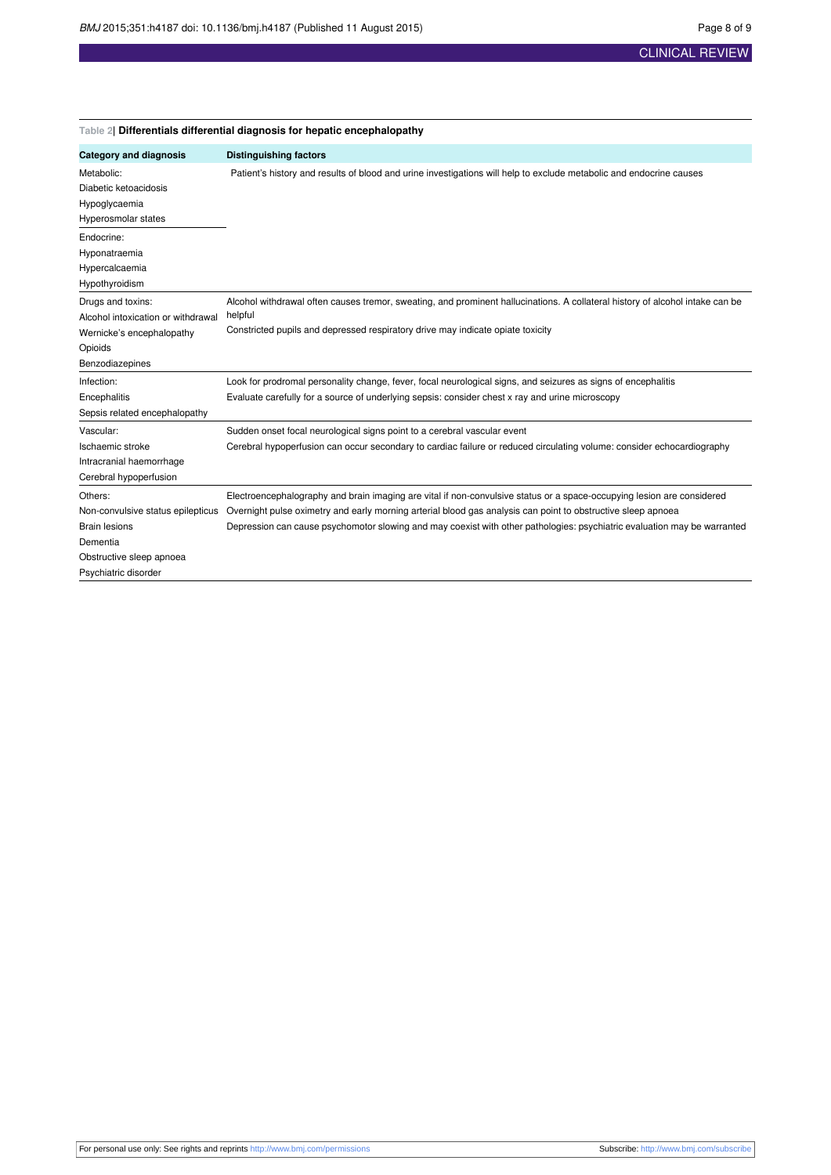|                                                                                                                               | $\textsf{\small Table 2}$ Differentials differential diagnosis for hepatic encephalopathy                                                                                                                                                                                                                                                                          |
|-------------------------------------------------------------------------------------------------------------------------------|--------------------------------------------------------------------------------------------------------------------------------------------------------------------------------------------------------------------------------------------------------------------------------------------------------------------------------------------------------------------|
| <b>Category and diagnosis</b>                                                                                                 | <b>Distinguishing factors</b>                                                                                                                                                                                                                                                                                                                                      |
| Metabolic:<br>Diabetic ketoacidosis<br>Hypoglycaemia<br>Hyperosmolar states                                                   | Patient's history and results of blood and urine investigations will help to exclude metabolic and endocrine causes                                                                                                                                                                                                                                                |
| Endocrine:<br>Hyponatraemia<br>Hypercalcaemia<br>Hypothyroidism                                                               |                                                                                                                                                                                                                                                                                                                                                                    |
| Drugs and toxins:<br>Alcohol intoxication or withdrawal<br>Wernicke's encephalopathy<br>Opioids<br>Benzodiazepines            | Alcohol withdrawal often causes tremor, sweating, and prominent hallucinations. A collateral history of alcohol intake can be<br>helpful<br>Constricted pupils and depressed respiratory drive may indicate opiate toxicity                                                                                                                                        |
| Infection:<br>Encephalitis<br>Sepsis related encephalopathy                                                                   | Look for prodromal personality change, fever, focal neurological signs, and seizures as signs of encephalitis<br>Evaluate carefully for a source of underlying sepsis: consider chest x ray and urine microscopy                                                                                                                                                   |
| Vascular:<br>Ischaemic stroke<br>Intracranial haemorrhage<br>Cerebral hypoperfusion                                           | Sudden onset focal neurological signs point to a cerebral vascular event<br>Cerebral hypoperfusion can occur secondary to cardiac failure or reduced circulating volume: consider echocardiography                                                                                                                                                                 |
| Others:<br>Non-convulsive status epilepticus<br>Brain lesions<br>Dementia<br>Obstructive sleep apnoea<br>Psychiatric disorder | Electroencephalography and brain imaging are vital if non-convulsive status or a space-occupying lesion are considered<br>Overnight pulse oximetry and early morning arterial blood gas analysis can point to obstructive sleep apnoea<br>Depression can cause psychomotor slowing and may coexist with other pathologies: psychiatric evaluation may be warranted |

### <span id="page-7-0"></span>**Table 2| Differentials differential diagnosis for hepatic encephalopathy**